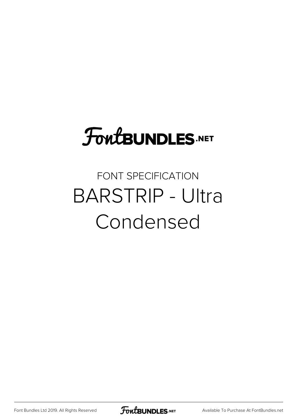# **FoutBUNDLES.NET**

# FONT SPECIFICATION BARSTRIP - Ultra Condensed

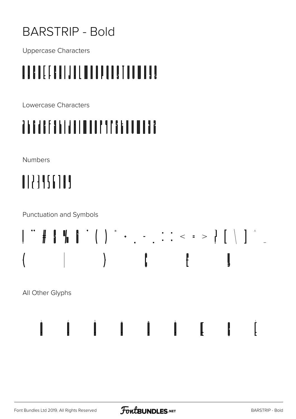### **BARSTRIP - Bold**

**Uppercase Characters** 

# 

Lowercase Characters

### 

 $\hat{\mathbf{l}}$ 

Í

Numbers

# 

**Punctuation and Symbols** 

# $\mathbf{f}$

All Other Glyphs

I

 $\mathbf{I}$ 

 $\begin{matrix} \mathbf{1} & \mathbf{1} & \mathbf{1} & \mathbf{1} & \mathbf{1} & \mathbf{1} & \mathbf{1} & \mathbf{1} & \mathbf{1} & \mathbf{1} & \mathbf{1} & \mathbf{1} & \mathbf{1} & \mathbf{1} & \mathbf{1} & \mathbf{1} & \mathbf{1} & \mathbf{1} & \mathbf{1} & \mathbf{1} & \mathbf{1} & \mathbf{1} & \mathbf{1} & \mathbf{1} & \mathbf{1} & \mathbf{1} & \mathbf{1} & \mathbf{1} & \mathbf{1} & \mathbf{1} & \mathbf{1$ 

 $\mathbf{r}$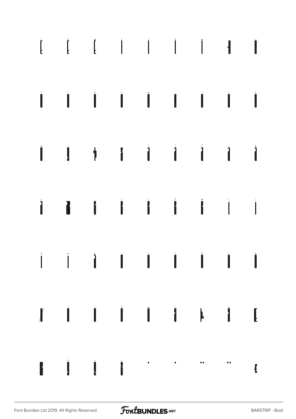Font Bundles Ltd 2019. All Rights Reserved

 $\int_{0}^{\infty}$ 

Í

Í

Ì

İ

 $\frac{1}{2}$ 

ľ

 $\hat{\textbf{I}}$ 

 $\frac{1}{\sqrt{2}}$ 

 $\begin{matrix} \begin{matrix} 1 \\ 1 \end{matrix} \end{matrix}$ 

 $\begin{matrix} \begin{matrix} 1 \\ 1 \end{matrix} \end{matrix} \end{matrix}$ 

**I** 

Ì

j

j

 $\begin{matrix} \uparrow \\ \downarrow \end{matrix}$ 

 $\int$ 

 $\begin{matrix} \end{matrix}$ 

 $\sum_{i=1}^{n}$ 

Í

 $\sum_{i=1}^{n}$ 

 $\biggl\| \biggr\|$ 

 $\mathbf{\mathbf{\mathbf{\mathbf{\mathbf{I}}}}}$ 

 $\begin{matrix} \dot{\mathbf{j}} \end{matrix}$ 

 $\hat{\textbf{I}}$ 

 $\begin{matrix} \tilde{\mathbf{J}} \\ \mathbf{J} \end{matrix}$ 

 $\left| \begin{array}{c} 0 \\ 0 \\ 0 \end{array} \right|$ 

Î

j

 $\begin{matrix} \begin{matrix} 1 \\ 1 \end{matrix} \end{matrix}$ 

<sup>-</sup>

 $\left[ \right]$ 

 $\mathbf{f}$ 

 $\mathbf{I}$ 

Í

 $\tilde{I}$ 

Ì

 $\left\| \right\|$ 

ľ

 $\bullet$   $\bullet$ 

 $\bigg)$ 

 $\hat{\mathbf{l}}$ 

j

 $\hat{\mathbf{I}}$ 

 $\begin{matrix} \end{matrix}$ 

 $, ,$ 

Í

 $\hat{\mathbf{f}}$ 

Í

Í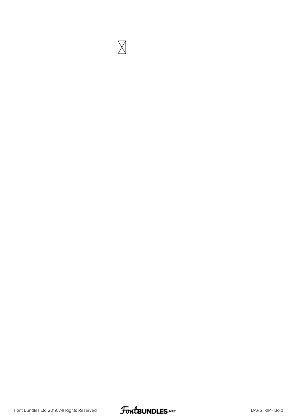

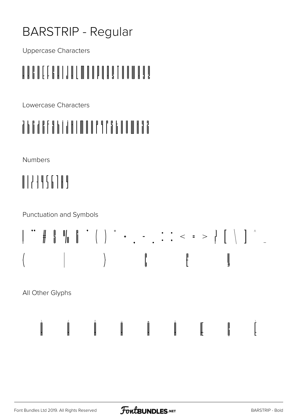### **BARSTRIP - Regular**

**Uppercase Characters** 

### <u>A B B O E E B A I J A L M A O P O A B I D O O A U S</u>

Lowercase Characters

### 

 $\hat{\mathbf{l}}$ 

 $\mathbb I$ 

Ĩ

#### Numbers

# 

**Punctuation and Symbols** 

### $\mathbf{f}$ Щ

All Other Glyphs

I

İ

 $\parallel$ 

 $\llbracket$ 

 $\mathbb{I}$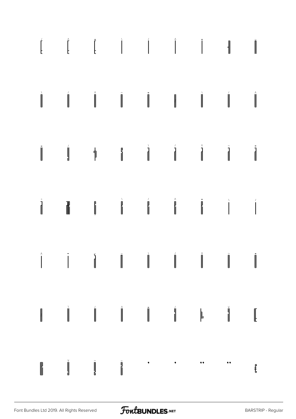$\hat{\mathbf{I}}$ Í  $\frac{1}{\sqrt{2}}$  $\displaystyle\int$  $\begin{matrix} \hat{\mathbf{p}} \\ \mathbf{f} \end{matrix}$  $\mathring{\mathsf{I}}$  $\mathbf{\hat{J}}$  $\begin{matrix} \begin{matrix} 0 \\ 0 \\ 0 \\ 0 \\ 0 \\ 0 \\ \end{matrix} \end{matrix}$  $\begin{array}{c}\n\wedge \\
\longleftarrow \\
\longleftarrow \\
\end{array}$  $\overline{\mathsf{I}}$  $\left\| \right\|$  $\begin{matrix} \tilde{a} \\ b \end{matrix}$ Í  $\sum_{i=1}^{n}$  $\left\| \right\|$ Í  $\begin{array}{c} \end{array}$  $\Bigg| \Bigg|,$ 

 $\int\limits_{0}^{2\pi}$ 

 $\begin{matrix} \hat{\textbf{u}} \\ \hat{\textbf{v}} \end{matrix}$ 

 $\begin{array}{c} \begin{array}{c} \begin{array}{c} \end{array} \\ \begin{array}{c} \end{array} \end{array} \end{array}$ 

 $\begin{array}{c} \begin{array}{c} \begin{array}{c} \end{array} \end{array} \end{array}$ 

 $\begin{matrix} \end{matrix}$ 

 $\hat{\mathbf{r}}$ 

Í

 $\acute{\text{I}}$ 

 $\begin{array}{c} \rule{0pt}{2.5ex} \rule{0pt}{2.5ex} \rule{0pt}{2.5ex} \rule{0pt}{2.5ex} \rule{0pt}{2.5ex} \rule{0pt}{2.5ex} \rule{0pt}{2.5ex} \rule{0pt}{2.5ex} \rule{0pt}{2.5ex} \rule{0pt}{2.5ex} \rule{0pt}{2.5ex} \rule{0pt}{2.5ex} \rule{0pt}{2.5ex} \rule{0pt}{2.5ex} \rule{0pt}{2.5ex} \rule{0pt}{2.5ex} \rule{0pt}{2.5ex} \rule{0pt}{2.5ex} \rule{0pt}{2.5ex} \rule{0$ 

 $\Bigl|$ 

 $\begin{matrix} \begin{matrix} 1 \\ 1 \end{matrix} \end{matrix}$ 

 $\begin{array}{c} \end{array}$ 

 $\begin{matrix} \hat{\mathbf{I}} \end{matrix}$ 

 $\tilde{I}$ 

ľ

٠,

 $, ,$ 

 $\begin{matrix} \begin{matrix} 0 \\ 0 \\ 0 \\ 0 \\ 0 \\ 0 \end{matrix} \end{matrix}$ 

 $\hat{\mathbf{I}}$ 

 $\begin{matrix} \sqrt{1} & \sqrt{1} & \sqrt{1} \\ \sqrt{1} & \sqrt{1} & \sqrt{1} \\ \sqrt{1} & \sqrt{1} & \sqrt{1} \\ \sqrt{1} & \sqrt{1} & \sqrt{1} \\ \sqrt{1} & \sqrt{1} & \sqrt{1} \\ \sqrt{1} & \sqrt{1} & \sqrt{1} \\ \sqrt{1} & \sqrt{1} & \sqrt{1} \\ \sqrt{1} & \sqrt{1} & \sqrt{1} \\ \sqrt{1} & \sqrt{1} & \sqrt{1} \\ \sqrt{1} & \sqrt{1} & \sqrt{1} \\ \sqrt{1} & \sqrt{1} & \sqrt{1} \\ \sqrt{1} & \sqrt{1} & \sqrt{1}$ 

 $\begin{bmatrix} \end{bmatrix}$ 

 $\mathfrak{f}$ 

ľ

 $\prod_{\mathbf{U}}$ 

 $\begin{matrix} \tilde{\mathbf{I}} \\ \mathbf{I} \end{matrix}$